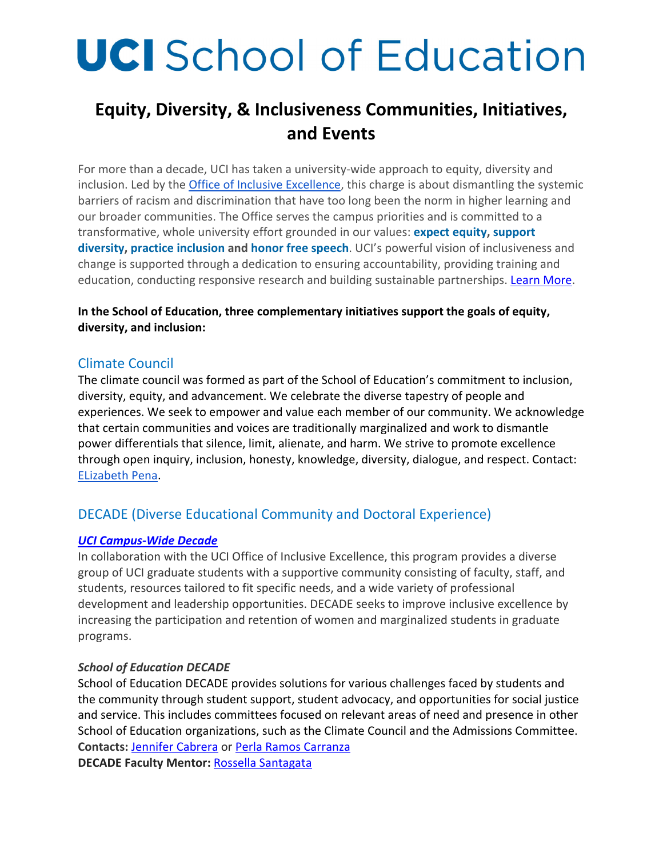# **UCI** School of Education

# **Equity, Diversity, & Inclusiveness Communities, Initiatives, and Events**

For more than a decade, UCI has taken a university‐wide approach to equity, diversity and inclusion. Led by the Office of Inclusive Excellence, this charge is about dismantling the systemic barriers of racism and discrimination that have too long been the norm in higher learning and our broader communities. The Office serves the campus priorities and is committed to a transformative, whole university effort grounded in our values: **expect equity, support diversity, practice inclusion and honor free speech**. UCI's powerful vision of inclusiveness and change is supported through a dedication to ensuring accountability, providing training and education, conducting responsive research and building sustainable partnerships. Learn More.

#### **In the School of Education, three complementary initiatives support the goals of equity, diversity, and inclusion:**

### Climate Council

The climate council was formed as part of the School of Education's commitment to inclusion, diversity, equity, and advancement. We celebrate the diverse tapestry of people and experiences. We seek to empower and value each member of our community. We acknowledge that certain communities and voices are traditionally marginalized and work to dismantle power differentials that silence, limit, alienate, and harm. We strive to promote excellence through open inquiry, inclusion, honesty, knowledge, diversity, dialogue, and respect. Contact: ELizabeth Pena.

# DECADE (Diverse Educational Community and Doctoral Experience)

#### *UCI Campus‐Wide Decade*

In collaboration with the UCI Office of Inclusive Excellence, this program provides a diverse group of UCI graduate students with a supportive community consisting of faculty, staff, and students, resources tailored to fit specific needs, and a wide variety of professional development and leadership opportunities. DECADE seeks to improve inclusive excellence by increasing the participation and retention of women and marginalized students in graduate programs.

#### *School of Education DECADE*

School of Education DECADE provides solutions for various challenges faced by students and the community through student support, student advocacy, and opportunities for social justice and service. This includes committees focused on relevant areas of need and presence in other School of Education organizations, such as the Climate Council and the Admissions Committee. **Contacts:** Jennifer Cabrera or Perla Ramos Carranza **DECADE Faculty Mentor:** Rossella Santagata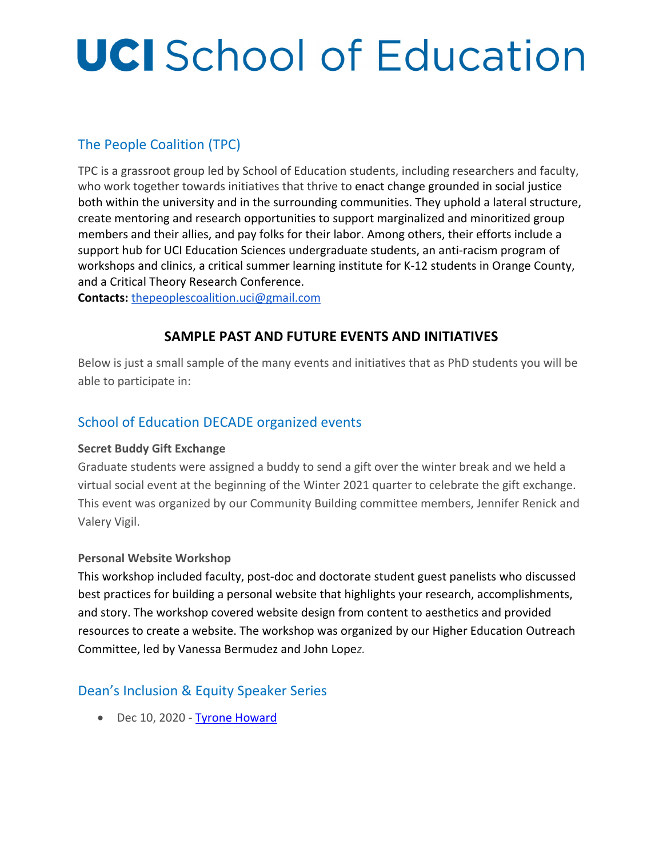# **UCI** School of Education

# The People Coalition (TPC)

TPC is a grassroot group led by School of Education students, including researchers and faculty, who work together towards initiatives that thrive to enact change grounded in social justice both within the university and in the surrounding communities. They uphold a lateral structure, create mentoring and research opportunities to support marginalized and minoritized group members and their allies, and pay folks for their labor. Among others, their efforts include a support hub for UCI Education Sciences undergraduate students, an anti-racism program of workshops and clinics, a critical summer learning institute for K‐12 students in Orange County, and a Critical Theory Research Conference.

**Contacts:** thepeoplescoalition.uci@gmail.com

### **SAMPLE PAST AND FUTURE EVENTS AND INITIATIVES**

Below is just a small sample of the many events and initiatives that as PhD students you will be able to participate in:

# School of Education DECADE organized events

#### **Secret Buddy Gift Exchange**

Graduate students were assigned a buddy to send a gift over the winter break and we held a virtual social event at the beginning of the Winter 2021 quarter to celebrate the gift exchange. This event was organized by our Community Building committee members, Jennifer Renick and Valery Vigil.

#### **Personal Website Workshop**

This workshop included faculty, post‐doc and doctorate student guest panelists who discussed best practices for building a personal website that highlights your research, accomplishments, and story. The workshop covered website design from content to aesthetics and provided resources to create a website. The workshop was organized by our Higher Education Outreach Committee, led by Vanessa Bermudez and John Lope*z.*

# Dean's Inclusion & Equity Speaker Series

● Dec 10, 2020 - Tyrone Howard